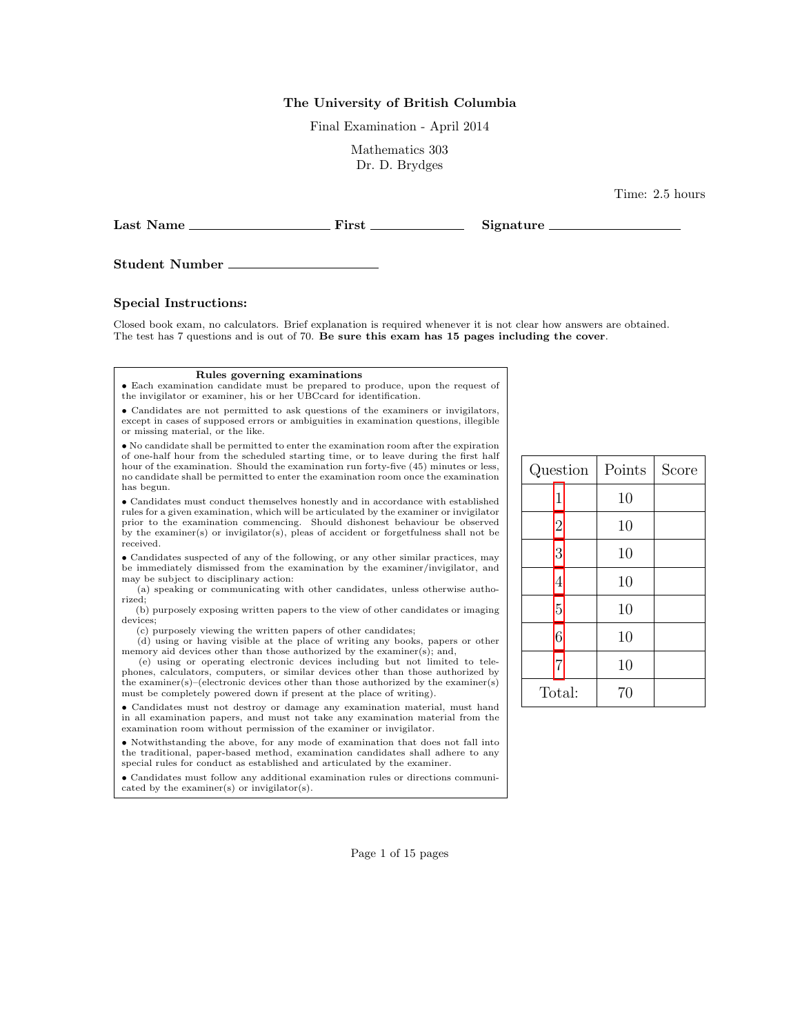## The University of British Columbia

Final Examination - April 2014

Mathematics 303 Dr. D. Brydges

Last Name First Signature

Student Number

### Special Instructions:

Closed book exam, no calculators. Brief explanation is required whenever it is not clear how answers are obtained. The test has 7 questions and is out of 70. Be sure this exam has 15 pages including the cover.

#### Rules governing examinations

• Each examination candidate must be prepared to produce, upon the request of the invigilator or examiner, his or her UBCcard for identification.

• Candidates are not permitted to ask questions of the examiners or invigilators, except in cases of supposed errors or ambiguities in examination questions, illegible or missing material, or the like.

• No candidate shall be permitted to enter the examination room after the expiration of one-half hour from the scheduled starting time, or to leave during the first half hour of the examination. Should the examination run forty-five (45) minutes or less, no candidate shall be permitted to enter the examination room once the examination has begun.

 $\bullet$  Candidates must conduct themselves honestly and in accordance with established rules for a given examination, which will be articulated by the examiner or invigilator prior to the examination commencing. Should dishonest behaviour be observed by the examiner(s) or invigilator(s), pleas of accident or forgetfulness shall not be received.

• Candidates suspected of any of the following, or any other similar practices, may be immediately dismissed from the examination by the examiner/invigilator, and may be subject to disciplinary action:

(a) speaking or communicating with other candidates, unless otherwise authorized;

(b) purposely exposing written papers to the view of other candidates or imaging devices;

(c) purposely viewing the written papers of other candidates;

(d) using or having visible at the place of writing any books, papers or other memory aid devices other than those authorized by the examiner(s); and,

(e) using or operating electronic devices including but not limited to telephones, calculators, computers, or similar devices other than those authorized by the examiner(s)–(electronic devices other than those authorized by the examiner(s) must be completely powered down if present at the place of writing).

• Candidates must not destroy or damage any examination material, must hand in all examination papers, and must not take any examination material from the examination room without permission of the examiner or invigilator.

• Notwithstanding the above, for any mode of examination that does not fall into the traditional, paper-based method, examination candidates shall adhere to any special rules for conduct as established and articulated by the examiner.

• Candidates must follow any additional examination rules or directions communicated by the examiner(s) or invigilator(s).

| Question       | Points | Score |
|----------------|--------|-------|
| 1              | 10     |       |
| $\overline{2}$ | 10     |       |
| 3              | 10     |       |
| $\overline{4}$ | 10     |       |
| $\overline{5}$ | 10     |       |
| 6              | 10     |       |
| $\overline{7}$ | 10     |       |
| Total:         | 70     |       |

Time: 2.5 hours

Page 1 of 15 pages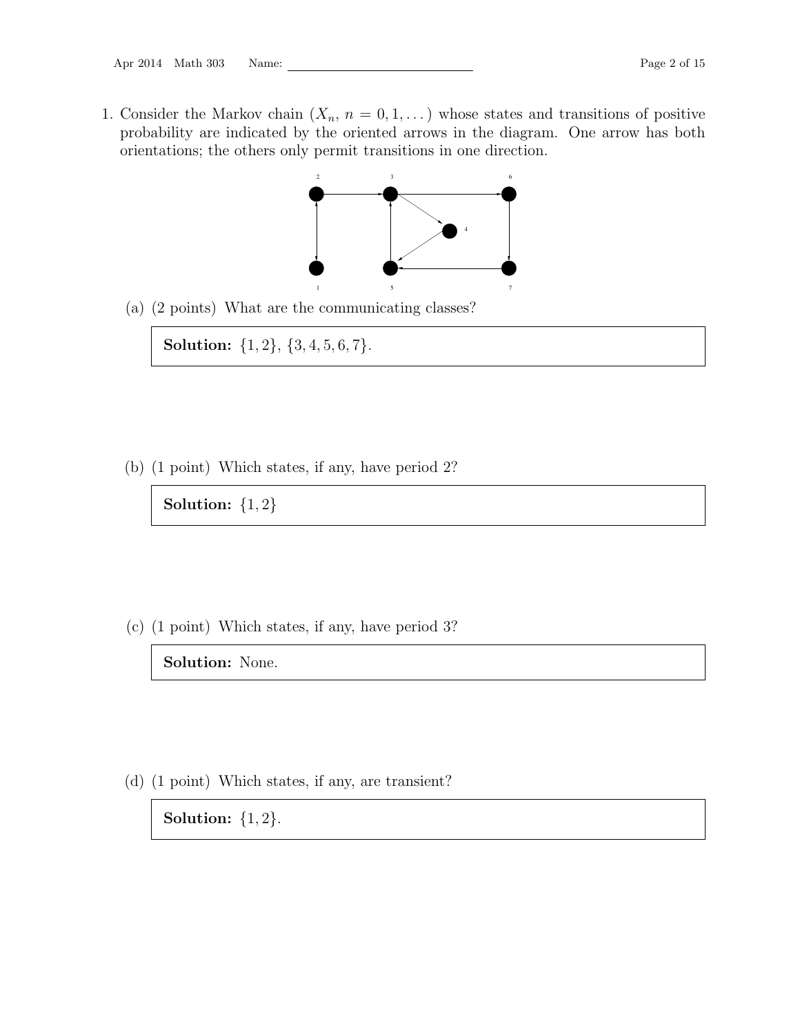<span id="page-1-0"></span>1. Consider the Markov chain  $(X_n, n = 0, 1, ...)$  whose states and transitions of positive probability are indicated by the oriented arrows in the diagram. One arrow has both orientations; the others only permit transitions in one direction.



(a) (2 points) What are the communicating classes?

Solution:  $\{1, 2\}, \{3, 4, 5, 6, 7\}.$ 

(b) (1 point) Which states, if any, have period 2?

Solution:  $\{1,2\}$ 

(c) (1 point) Which states, if any, have period 3?

Solution: None.

(d) (1 point) Which states, if any, are transient?

Solution:  $\{1, 2\}$ .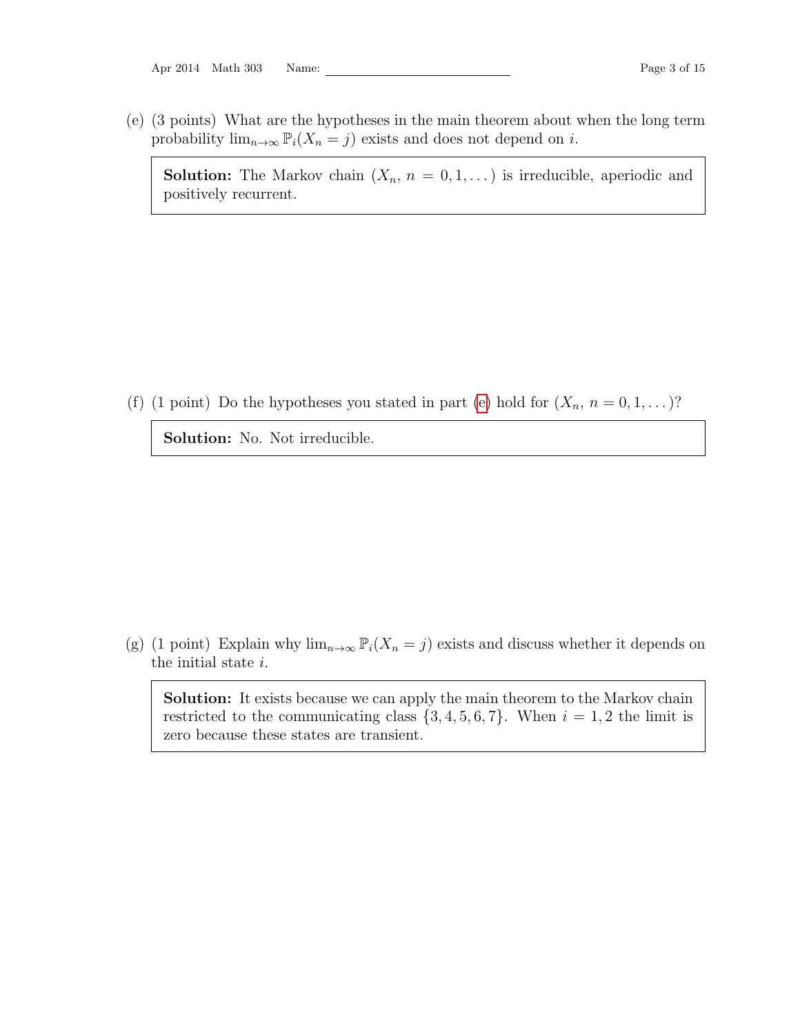Apr 2014 Math 303 Name: Page 3 of 15

<span id="page-2-0"></span>(e) (3 points) What are the hypotheses in the main theorem about when the long term probability  $\lim_{n\to\infty} \mathbb{P}_i(X_n = j)$  exists and does not depend on *i*.

**Solution:** The Markov chain  $(X_n, n = 0, 1, ...)$  is irreducible, aperiodic and positively recurrent.

(f) (1 point) Do the hypotheses you stated in part [\(e\)](#page-2-0) hold for  $(X_n, n = 0, 1, ...)$ ?

Solution: No. Not irreducible.

(g) (1 point) Explain why  $\lim_{n\to\infty} \mathbb{P}_i(X_n = j)$  exists and discuss whether it depends on the initial state i.

Solution: It exists because we can apply the main theorem to the Markov chain restricted to the communicating class  $\{3, 4, 5, 6, 7\}$ . When  $i = 1, 2$  the limit is zero because these states are transient.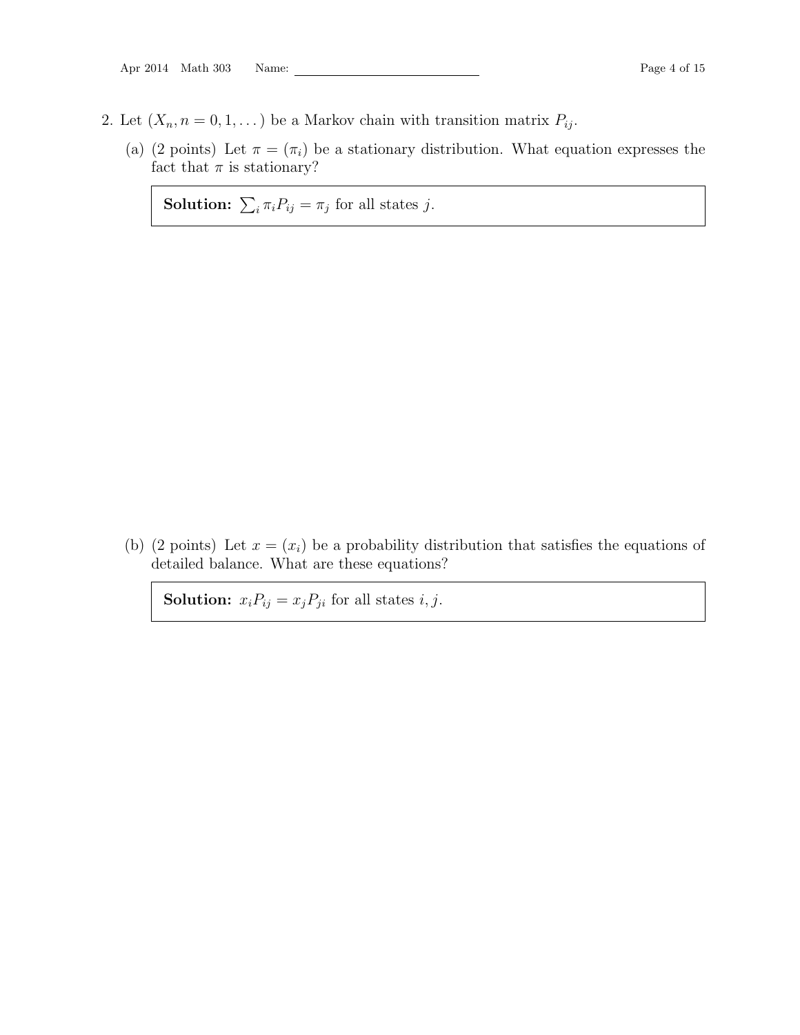- <span id="page-3-0"></span>2. Let  $(X_n, n = 0, 1, ...)$  be a Markov chain with transition matrix  $P_{ij}$ .
	- (a) (2 points) Let  $\pi = (\pi_i)$  be a stationary distribution. What equation expresses the fact that  $\pi$  is stationary?

**Solution:**  $\sum_i \pi_i P_{ij} = \pi_j$  for all states j.

(b) (2 points) Let  $x = (x_i)$  be a probability distribution that satisfies the equations of detailed balance. What are these equations?

**Solution:**  $x_i P_{ij} = x_j P_{ji}$  for all states *i*, *j*.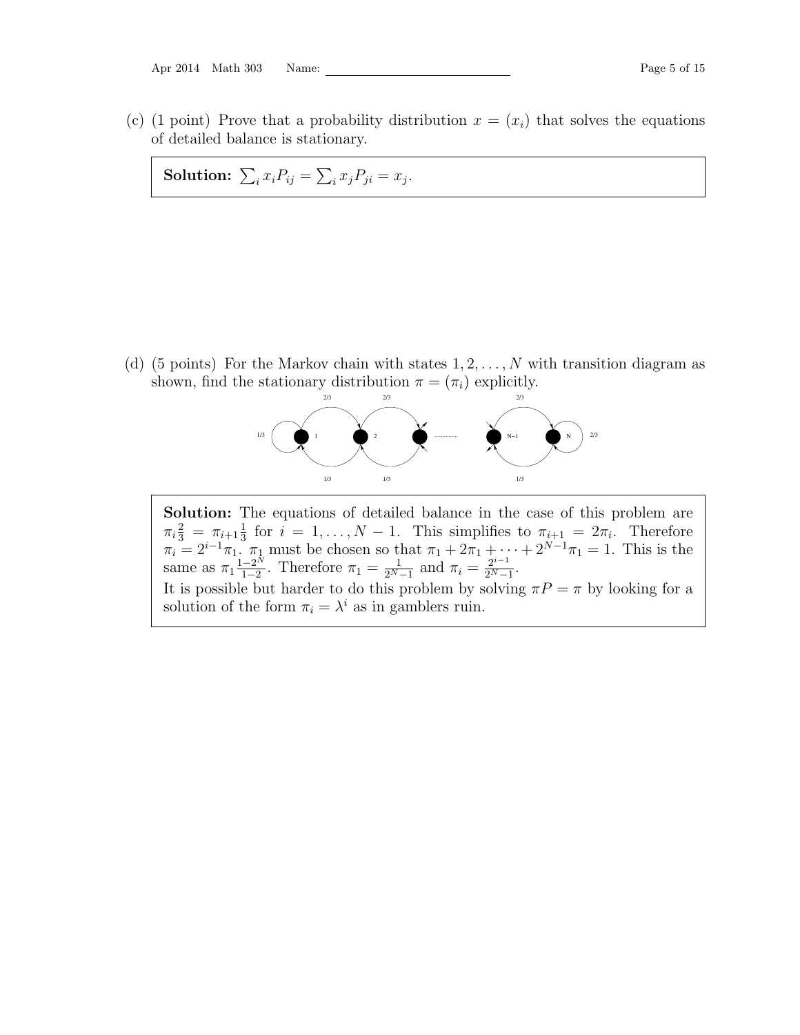Apr 2014 Math 303 Name: Page 5 of 15

(c) (1 point) Prove that a probability distribution  $x = (x_i)$  that solves the equations of detailed balance is stationary.

Solution:  $\sum_i x_i P_{ij} = \sum_i x_j P_{ji} = x_j$ .

(d) (5 points) For the Markov chain with states  $1, 2, \ldots, N$  with transition diagram as shown, find the stationary distribution  $\pi = (\pi_i)$  explicitly.



Solution: The equations of detailed balance in the case of this problem are  $\pi_i \frac{2}{3} = \pi_{i+1} \frac{1}{3}$  $\frac{1}{3}$  for  $i = 1, ..., N - 1$ . This simplifies to  $\pi_{i+1} = 2\pi_i$ . Therefore  $\pi_i = 2^{i-1}\pi_1$ .  $\pi_1$  must be chosen so that  $\pi_1 + 2\pi_1 + \cdots + 2^{N-1}\pi_1 = 1$ . This is the same as  $\pi_1 \frac{1-2^N}{1-2}$  $\frac{-2^N}{1-2}$ . Therefore  $\pi_1 = \frac{1}{2^N}$ .  $\frac{1}{2^N-1}$  and  $\pi_i = \frac{2^{i-1}}{2^N-1}$  $\frac{2^{i-1}}{2^N-1}$ . It is possible but harder to do this problem by solving  $\pi P = \pi$  by looking for a solution of the form  $\pi_i = \lambda^i$  as in gamblers ruin.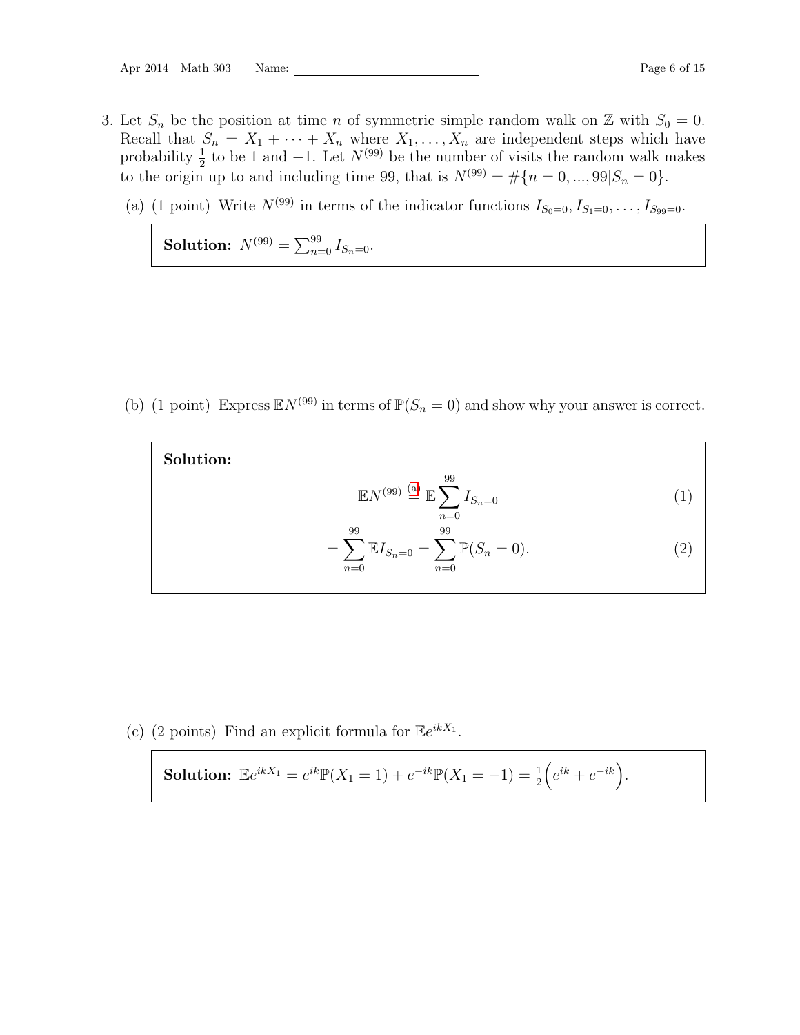Apr 2014 Math 303 Name: Page 6 of 15

- <span id="page-5-0"></span>3. Let  $S_n$  be the position at time n of symmetric simple random walk on Z with  $S_0 = 0$ . Recall that  $S_n = X_1 + \cdots + X_n$  where  $X_1, \ldots, X_n$  are independent steps which have probability  $\frac{1}{2}$  to be 1 and -1. Let  $N^{(99)}$  be the number of visits the random walk makes to the origin up to and including time 99, that is  $N^{(99)} = #\{n = 0, ..., 99 | S_n = 0\}.$ 
	- (a) (1 point) Write  $N^{(99)}$  in terms of the indicator functions  $I_{S_0=0}, I_{S_1=0}, \ldots, I_{S_{99}=0}$ .

<span id="page-5-1"></span>Solution:  $N^{(99)} = \sum_{n=0}^{99} I_{S_n=0}$ .

<span id="page-5-2"></span>(b) (1 point) Express  $\mathbb{E}N^{(99)}$  in terms of  $\mathbb{P}(S_n = 0)$  and show why your answer is correct.

| Solution:                                                                               |                |
|-----------------------------------------------------------------------------------------|----------------|
| 99<br>$\mathbb{E} N^{(99)} \stackrel{\text{(a)}}{=} \mathbb{E} \sum I_{S_n=0}$<br>$n=0$ |                |
| 99<br>99<br>$=\sum \mathbb{E}I_{S_n=0}=\sum \mathbb{P}(S_n=0).$<br>$n=0$<br>$n=0$       | $\overline{2}$ |

(c) (2 points) Find an explicit formula for  $\mathbb{E}e^{ikX_1}$ .

**Solution:** 
$$
\mathbb{E}e^{ikX_1} = e^{ik}\mathbb{P}(X_1 = 1) + e^{-ik}\mathbb{P}(X_1 = -1) = \frac{1}{2}(e^{ik} + e^{-ik}).
$$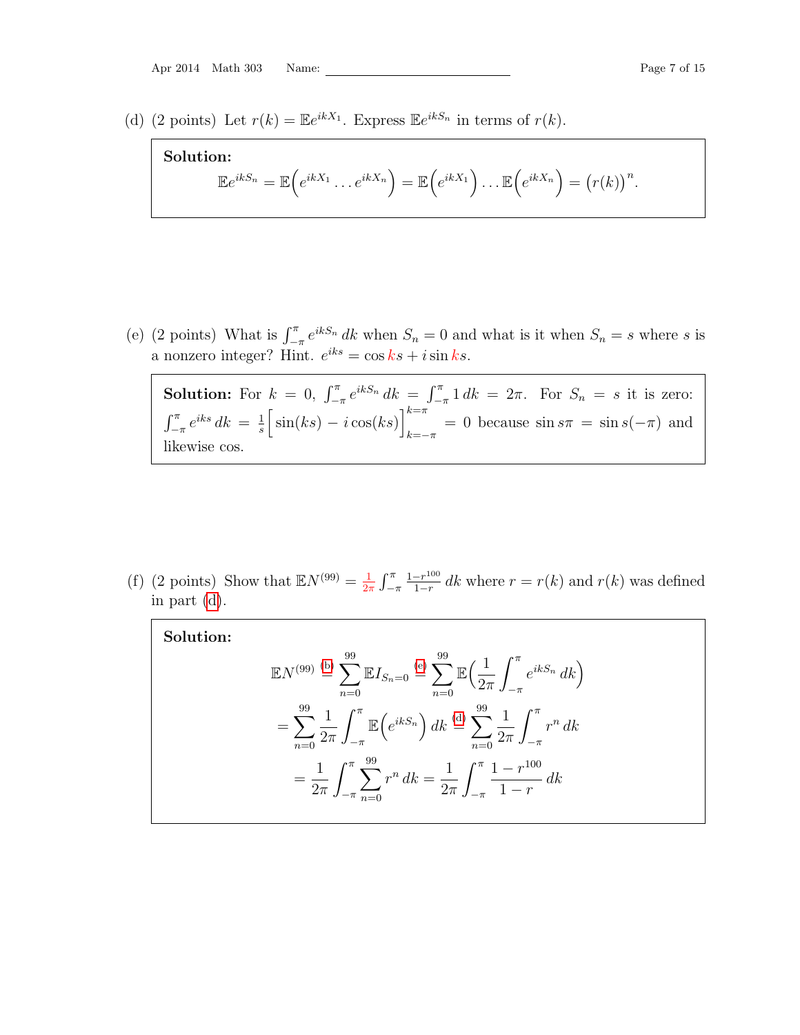<span id="page-6-0"></span>(d) (2 points) Let  $r(k) = \mathbb{E}e^{ikX_1}$ . Express  $\mathbb{E}e^{ikS_n}$  in terms of  $r(k)$ .

Solution:  
\n
$$
\mathbb{E}e^{ikS_n} = \mathbb{E}\Big(e^{ikX_1}\dots e^{ikX_n}\Big) = \mathbb{E}\Big(e^{ikX_1}\Big)\dots \mathbb{E}\Big(e^{ikX_n}\Big) = (r(k))^n.
$$

<span id="page-6-1"></span>(e) (2 points) What is  $\int_{-\pi}^{\pi} e^{ikS_n} dk$  when  $S_n = 0$  and what is it when  $S_n = s$  where s is a nonzero integer? Hint.  $e^{iks} = \cos ks + i \sin ks$ .

**Solution:** For  $k = 0$ ,  $\int_{-\pi}^{\pi} e^{ikS_n} dk = \int_{-\pi}^{\pi} 1 dk = 2\pi$ . For  $S_n = s$  it is zero:  $\int_{-\pi}^{\pi} e^{iks} dk = \frac{1}{s}$  $\frac{1}{s} \left[ \sin(ks) - i \cos(ks) \right]_{k=0}^{k=\pi}$  $k=-\pi$  = 0 because  $\sin s\pi = \sin s(-\pi)$  and likewise cos.

(f) (2 points) Show that  $\mathbb{E}N^{(99)} = \frac{1}{25}$  $rac{1}{2\pi}$   $\int_{-\pi}^{\pi}$  $1-r^{100}$  $\frac{-r^{100}}{1-r}$  dk where  $r = r(k)$  and  $r(k)$  was defined in part [\(d\)](#page-6-0).

| Solution: |                                                                                                                                                                                              |
|-----------|----------------------------------------------------------------------------------------------------------------------------------------------------------------------------------------------|
|           | $\mathbb{E}N^{(99)} \stackrel{\text{(b)}}{=} \sum_{n=0}^{33} \mathbb{E}I_{S_n=0} \stackrel{\text{(e)}}{=} \sum_{n=0}^{33} \mathbb{E}\Big(\frac{1}{2\pi} \int_{-\pi}^{\pi} e^{ikS_n} dk\Big)$ |
|           | $= \sum_{n=0}^{99} \frac{1}{2\pi} \int_{-\pi}^{\pi} \mathbb{E} \left( e^{ikS_n} \right) dk \stackrel{\text{(d)}}{=} \sum_{n=0}^{99} \frac{1}{2\pi} \int_{-\pi}^{\pi} r^n dk$                 |
|           | $= \frac{1}{2\pi} \int_{-\pi}^{\pi} \sum_{n=0}^{99} r^n dk = \frac{1}{2\pi} \int_{-\pi}^{\pi} \frac{1 - r^{100}}{1 - r} dk$                                                                  |
|           |                                                                                                                                                                                              |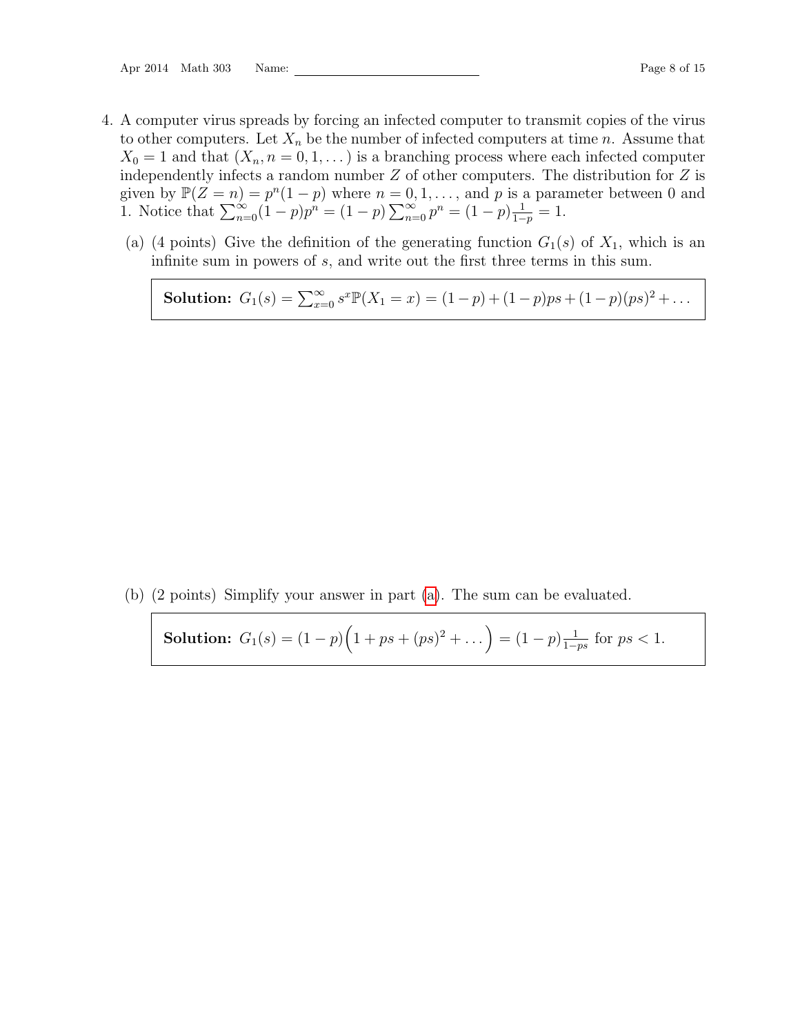- <span id="page-7-0"></span>4. A computer virus spreads by forcing an infected computer to transmit copies of the virus to other computers. Let  $X_n$  be the number of infected computers at time n. Assume that  $X_0 = 1$  and that  $(X_n, n = 0, 1, ...)$  is a branching process where each infected computer independently infects a random number  $Z$  of other computers. The distribution for  $Z$  is given by  $\mathbb{P}(Z = n) = p^{n}(1-p)$  where  $n = 0, 1, \ldots$ , and p is a parameter between 0 and 1. Notice that  $\sum_{n=0}^{\infty} (1-p)p^n = (1-p)\sum_{n=0}^{\infty} p^n = (1-p)\frac{1}{1-p}$  $\frac{1}{1-p} = 1.$ 
	- (a) (4 points) Give the definition of the generating function  $G_1(s)$  of  $X_1$ , which is an infinite sum in powers of s, and write out the first three terms in this sum.

<span id="page-7-1"></span>Solution:  $G_1(s) = \sum_{x=0}^{\infty} s^x \mathbb{P}(X_1 = x) = (1-p) + (1-p)ps + (1-p)(ps)^2 + \dots$ 

<span id="page-7-2"></span>(b) (2 points) Simplify your answer in part [\(a\)](#page-7-1). The sum can be evaluated.

Solution: 
$$
G_1(s) = (1-p)\left(1+ps+(ps)^2+\dots\right) = (1-p)\frac{1}{1-ps}
$$
 for  $ps < 1$ .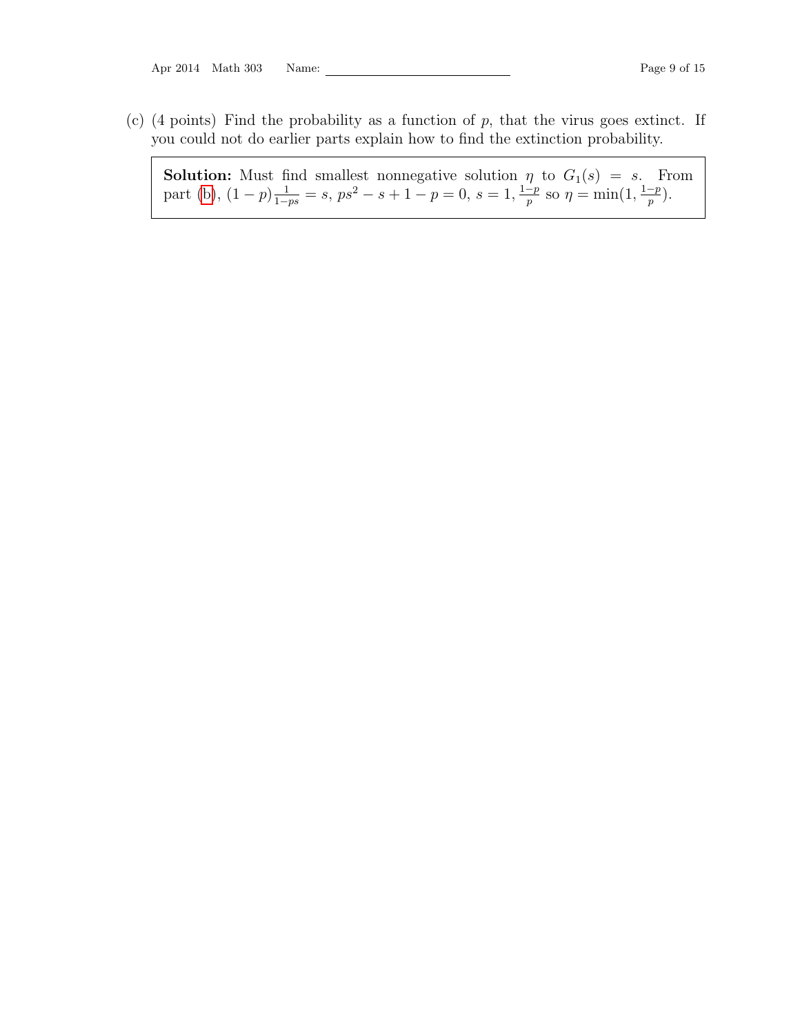Apr 2014 Math 303 Name: Page 9 of 15

(c) (4 points) Find the probability as a function of  $p$ , that the virus goes extinct. If you could not do earlier parts explain how to find the extinction probability.

**Solution:** Must find smallest nonnegative solution  $\eta$  to  $G_1(s) = s$ . From part [\(b\)](#page-7-2),  $(1-p)\frac{1}{1-ps} = s$ ,  $ps^2 - s + 1 - p = 0$ ,  $s = 1$ ,  $\frac{1-p}{p}$  $\frac{-p}{p}$  so  $\eta = \min(1, \frac{1-p}{p})$  $\frac{-p}{p}$ ).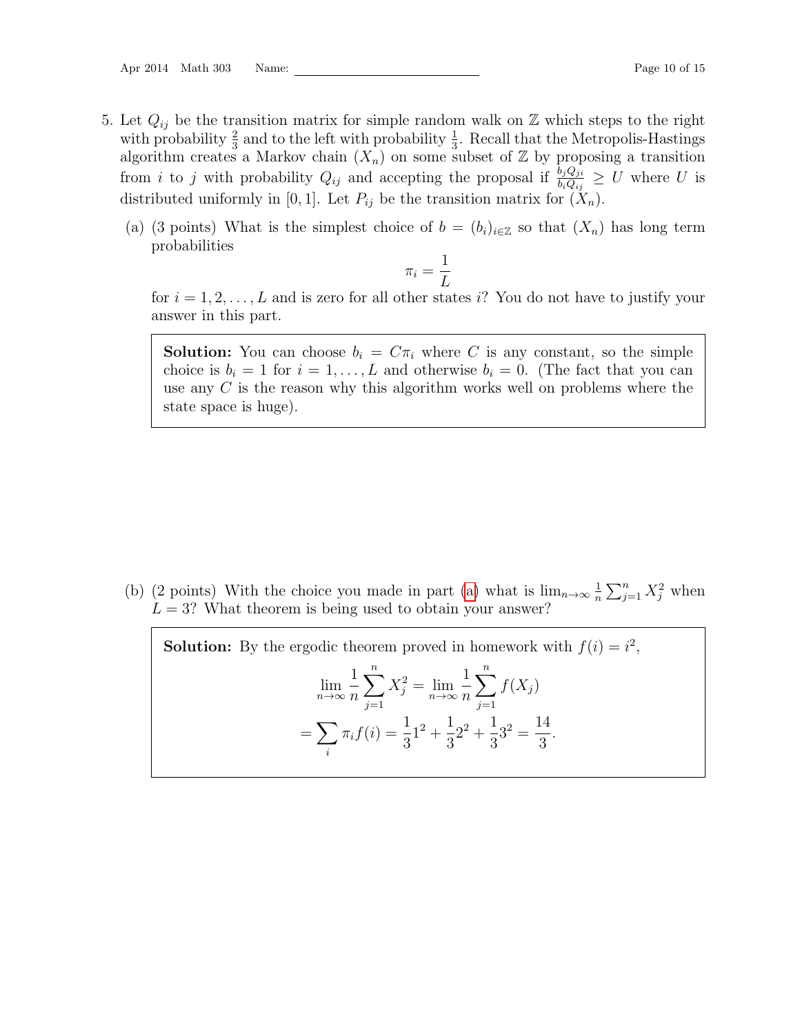- <span id="page-9-0"></span>5. Let  $Q_{ij}$  be the transition matrix for simple random walk on  $\mathbb Z$  which steps to the right with probability  $\frac{2}{3}$  and to the left with probability  $\frac{1}{3}$ . Recall that the Metropolis-Hastings algorithm creates a Markov chain  $(X_n)$  on some subset of  $\mathbb Z$  by proposing a transition from *i* to *j* with probability  $Q_{ij}$  and accepting the proposal if  $\frac{b_j Q_{ji}}{b_i Q_{ij}} \geq U$  where U is distributed uniformly in [0, 1]. Let  $P_{ij}$  be the transition matrix for  $(X_n)$ .
	- (a) (3 points) What is the simplest choice of  $b = (b_i)_{i \in \mathbb{Z}}$  so that  $(X_n)$  has long term probabilities

$$
\pi_i = \frac{1}{L}
$$

<span id="page-9-1"></span>for  $i = 1, 2, \ldots, L$  and is zero for all other states i? You do not have to justify your answer in this part.

**Solution:** You can choose  $b_i = C\pi_i$  where C is any constant, so the simple choice is  $b_i = 1$  for  $i = 1, ..., L$  and otherwise  $b_i = 0$ . (The fact that you can use any C is the reason why this algorithm works well on problems where the state space is huge).

(b) (2 points) With the choice you made in part [\(a\)](#page-9-1) what is  $\lim_{n\to\infty} \frac{1}{n}$  $\frac{1}{n}\sum_{j=1}^n X_j^2$  when  $L = 3$ ? What theorem is being used to obtain your answer?

**Solution:** By the ergodic theorem proved in homework with  $f(i) = i^2$ ,  $\lim_{n\to\infty}$ 1 n  $\sum_{n=1}^{\infty}$  $j=1$  $X_j^2 = \lim_{n \to \infty}$ 1  $\overline{n}$  $\sum_{n=1}^{\infty}$  $j=1$  $f(X_j)$  $=$   $\sum$ i  $\pi_i f(i) = \frac{1}{3}$  $1^2 + \frac{1}{2}$ 3  $2^2 + \frac{1}{2}$ 3  $3^2 = \frac{14}{3}$ 3 .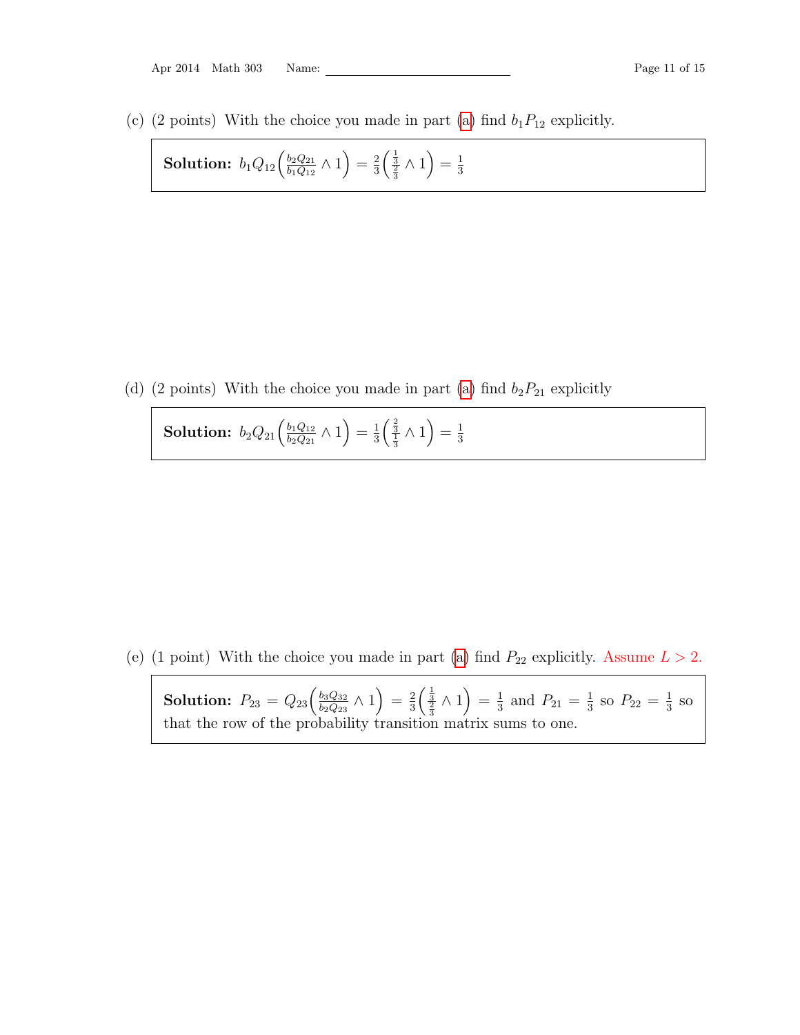|  | Apr 2014 | Math 303 |  | $\mathop{\mathrm{Name}}$ |
|--|----------|----------|--|--------------------------|
|--|----------|----------|--|--------------------------|

(c) (2 points) With the choice you made in part [\(a\)](#page-9-1) find  $b_1P_{12}$  explicitly.

**Solution:** 
$$
b_1 Q_{12} \left( \frac{b_2 Q_{21}}{b_1 Q_{12}} \wedge 1 \right) = \frac{2}{3} \left( \frac{\frac{1}{3}}{\frac{2}{3}} \wedge 1 \right) = \frac{1}{3}
$$

(d) (2 points) With the choice you made in part [\(a\)](#page-9-1) find  $b_2P_{21}$  explicitly

Solution:  $b_2Q_{21}\Big(\frac{b_1Q_{12}}{b_2Q_{21}}\Big)$  $\frac{b_1 Q_{12}}{b_2 Q_{21}} \wedge 1 = \frac{1}{3}$  $\frac{1}{3} \left( \frac{\frac{2}{3}}{\frac{1}{3}} \wedge 1 \right) = \frac{1}{3}$ 3

(e) (1 point) With the choice you made in part [\(a\)](#page-9-1) find  $P_{22}$  explicitly. Assume  $L > 2$ .

**Solution:**  $P_{23} = Q_{23} \left( \frac{b_3 Q_{32}}{b_2 Q_{32}} \right)$  $\left(\frac{b_3 Q_{32}}{b_2 Q_{23}} \wedge 1 \right) = \frac{2}{3}$  $\frac{2}{3} \left( \frac{\frac{1}{3}}{\frac{2}{3}} \wedge 1 \right) = \frac{1}{3}$  $\frac{1}{3}$  and  $P_{21} = \frac{1}{3}$  $\frac{1}{3}$  so  $P_{22} = \frac{1}{3}$  $\frac{1}{3}$  so that the row of the probability transition matrix sums to one.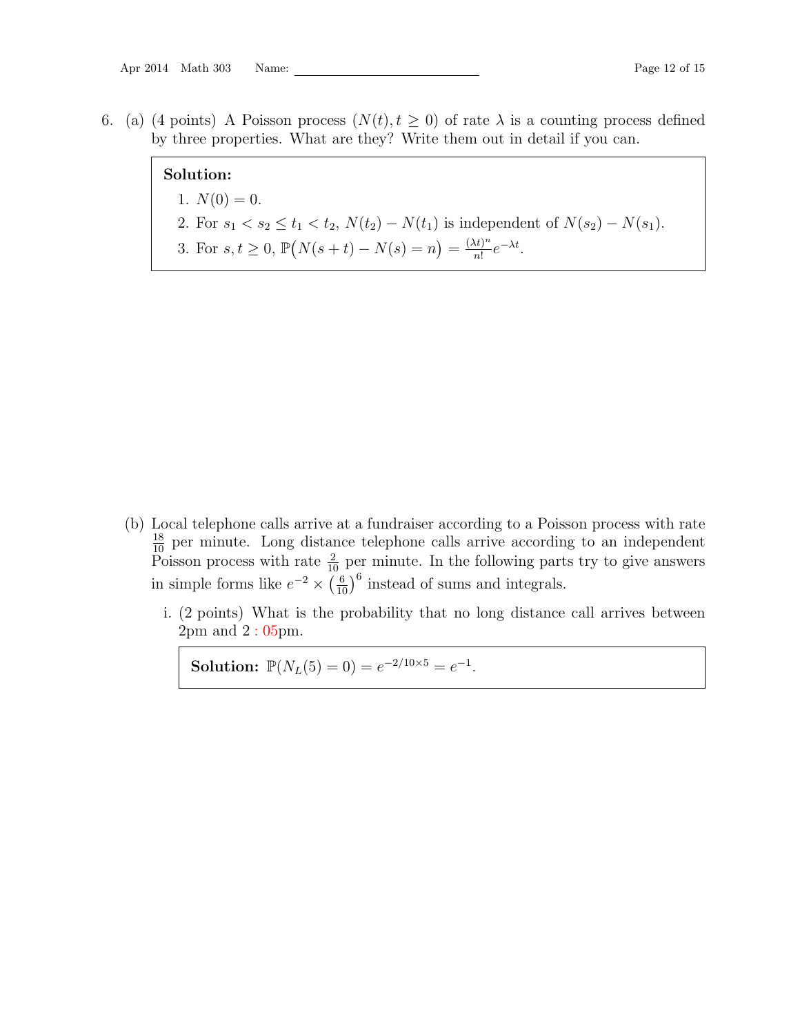<span id="page-11-0"></span>6. (a) (4 points) A Poisson process  $(N(t), t \geq 0)$  of rate  $\lambda$  is a counting process defined by three properties. What are they? Write them out in detail if you can.

# Solution:

- 1.  $N(0) = 0$ .
- 2. For  $s_1 < s_2 \le t_1 < t_2$ ,  $N(t_2) N(t_1)$  is independent of  $N(s_2) N(s_1)$ .
- 3. For  $s, t \geq 0$ ,  $\mathbb{P}(N(s+t) N(s) = n) = \frac{(\lambda t)^n}{n!}$  $\frac{(t)^n}{n!}e^{-\lambda t}$ .

- (b) Local telephone calls arrive at a fundraiser according to a Poisson process with rate  $\frac{18}{10}$  per minute. Long distance telephone calls arrive according to an independent Poisson process with rate  $\frac{2}{10}$  per minute. In the following parts try to give answers in simple forms like  $e^{-2} \times \left(\frac{6}{10}\right)^6$  instead of sums and integrals.
	- i. (2 points) What is the probability that no long distance call arrives between 2pm and 2 : 05pm.

Solution:  $\mathbb{P}(N_L(5) = 0) = e^{-2/10 \times 5} = e^{-1}.$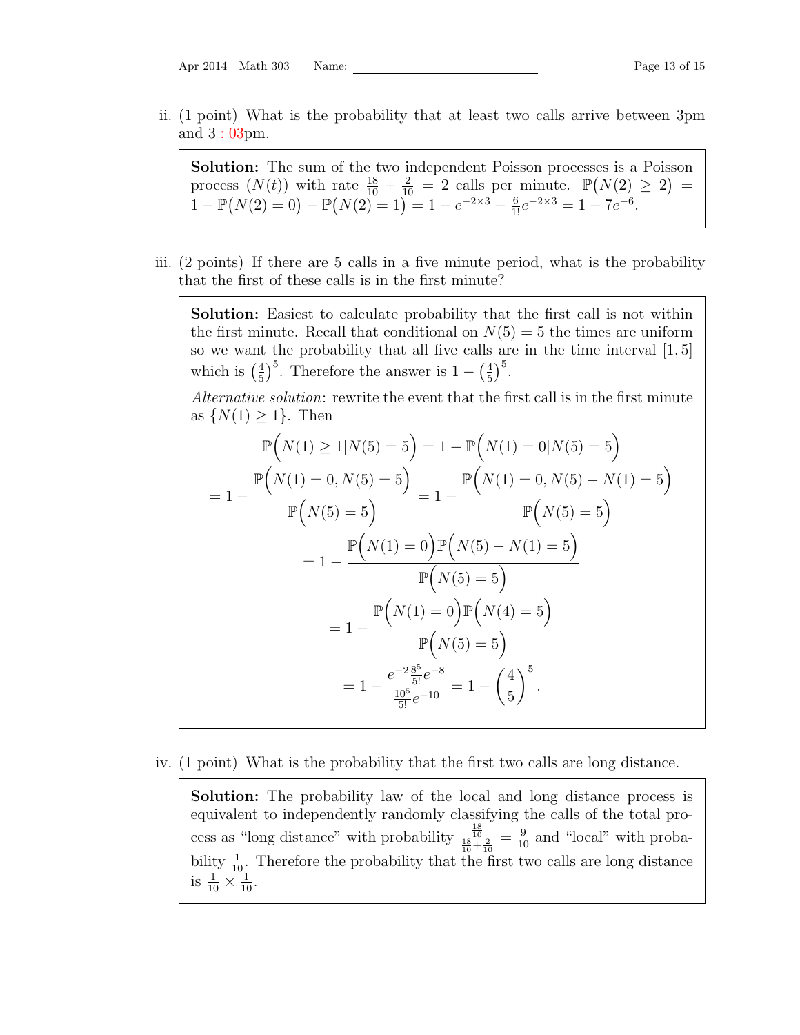| Math 303 | Apr 2014 |  |  | Nan |
|----------|----------|--|--|-----|
|----------|----------|--|--|-----|

ii. (1 point) What is the probability that at least two calls arrive between 3pm and 3 : 03pm.

Solution: The sum of the two independent Poisson processes is a Poisson process  $(N(t))$  with rate  $\frac{18}{10} + \frac{2}{10} = 2$  calls per minute.  $\mathbb{P}(N(2) \geq 2) =$ 1 –  $\mathbb{P}(N(2) = 0) - \mathbb{P}(N(2) = 1) = 1 - e^{-2 \times 3} - \frac{6}{1!}e^{-2 \times 3} = 1 - 7e^{-6}.$ 

iii. (2 points) If there are 5 calls in a five minute period, what is the probability that the first of these calls is in the first minute?

Solution: Easiest to calculate probability that the first call is not within the first minute. Recall that conditional on  $N(5) = 5$  the times are uniform so we want the probability that all five calls are in the time interval [1, 5] which is  $(\frac{4}{5})$  $\frac{4}{5}$ <sup>5</sup>. Therefore the answer is  $1 - \left(\frac{4}{5}\right)$  $(\frac{4}{5})^5$ .

Alternative solution: rewrite the event that the first call is in the first minute as  $\{N(1) \geq 1\}$ . Then

$$
\mathbb{P}\left(N(1) \ge 1 | N(5) = 5\right) = 1 - \mathbb{P}\left(N(1) = 0 | N(5) = 5\right)
$$
  
=  $1 - \frac{\mathbb{P}\left(N(1) = 0, N(5) = 5\right)}{\mathbb{P}\left(N(5) = 5\right)} = 1 - \frac{\mathbb{P}\left(N(1) = 0, N(5) - N(1) = 5\right)}{\mathbb{P}\left(N(5) = 5\right)}$   
=  $1 - \frac{\mathbb{P}\left(N(1) = 0\right)\mathbb{P}\left(N(5) - N(1) = 5\right)}{\mathbb{P}\left(N(5) = 5\right)}$   
=  $1 - \frac{\mathbb{P}\left(N(1) = 0\right)\mathbb{P}\left(N(4) = 5\right)}{\mathbb{P}\left(N(5) = 5\right)}$   
=  $1 - \frac{e^{-2} \frac{8^5}{5!} e^{-8}}{\frac{10^5}{5!} e^{-10}} = 1 - \left(\frac{4}{5}\right)^5$ .

## iv. (1 point) What is the probability that the first two calls are long distance.

Solution: The probability law of the local and long distance process is equivalent to independently randomly classifying the calls of the total process as "long distance" with probability  $\frac{\frac{18}{10}}{\frac{18}{10} + \frac{2}{10}} = \frac{9}{10}$  and "local" with probability  $\frac{1}{10}$ . Therefore the probability that the first two calls are long distance is  $\frac{1}{10} \times \frac{1}{10}$ .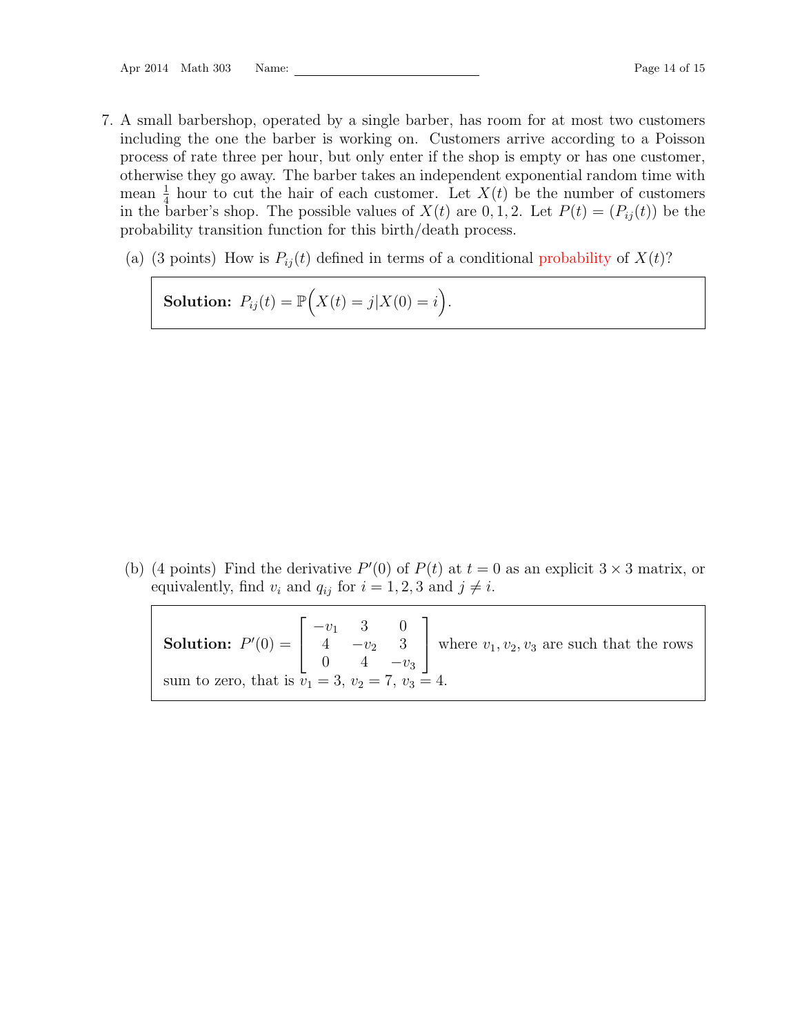- <span id="page-13-0"></span>7. A small barbershop, operated by a single barber, has room for at most two customers including the one the barber is working on. Customers arrive according to a Poisson process of rate three per hour, but only enter if the shop is empty or has one customer, otherwise they go away. The barber takes an independent exponential random time with mean  $\frac{1}{4}$  hour to cut the hair of each customer. Let  $X(t)$  be the number of customers in the barber's shop. The possible values of  $X(t)$  are 0, 1, 2. Let  $P(t) = (P_{ij}(t))$  be the probability transition function for this birth/death process.
	- (a) (3 points) How is  $P_{ij}(t)$  defined in terms of a conditional probability of  $X(t)$ ?

Solution:  $P_{ij}(t) = \mathbb{P}\Big(X(t) = j | X(0) = i\Big)$ .

<span id="page-13-1"></span>(b) (4 points) Find the derivative  $P'(0)$  of  $P(t)$  at  $t = 0$  as an explicit  $3 \times 3$  matrix, or equivalently, find  $v_i$  and  $q_{ij}$  for  $i = 1, 2, 3$  and  $j \neq i$ .

|                                                          |  |  |  | <b>'ution:</b> $P'(0) = \begin{bmatrix} -v_1 & 3 & 0 \\ 4 & -v_2 & 3 \\ 0 & 4 & -v_3 \end{bmatrix}$ where $v_1, v_2, v_3$ are such that the row-<br>that is $v_1 = 3$ and $v_2 = 3$ |  |
|----------------------------------------------------------|--|--|--|-------------------------------------------------------------------------------------------------------------------------------------------------------------------------------------|--|
| sum to zero, that is $v_1 = 3$ , $v_2 = 7$ , $v_3 = 4$ . |  |  |  |                                                                                                                                                                                     |  |